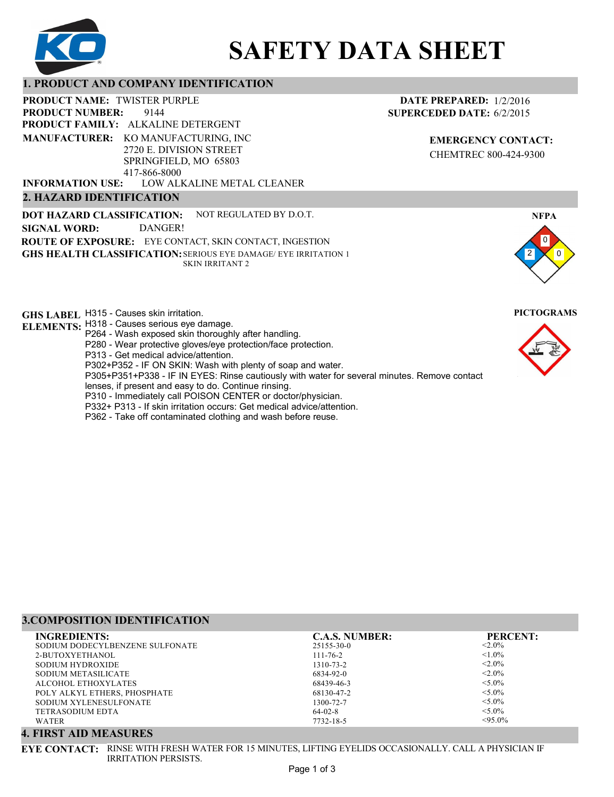

# **SAFETY DATA SHEET**

# **1. PRODUCT AND COMPANY IDENTIFICATION**

9144 PRODUCT NAME: TWISTER PURPLE **PRODUCT FAMILY: ALKALINE DETERGENT** LOW ALKALINE METAL CLEANER **PRODUCT NUMBER: MANUFACTURER:** KO MANUFACTURING, INC 2720 E. DIVISION STREET SPRINGFIELD, MO 65803 417-866-8000 **INFORMATION USE:**

# **2. HAZARD IDENTIFICATION**

**DOT HAZARD CLASSIFICATION: GHS HEALTH CLASSIFICATION:** SERIOUS EYE DAMAGE/ EYE IRRITATION 1 **ROUTE OF EXPOSURE:** EYE CONTACT, SKIN CONTACT, INGESTION NOT REGULATED BY D.O.T. SKIN IRRITANT 2 **SIGNAL WORD:** DANGER!

**GHS LABEL**  H315 - Causes skin irritation. **PICTOGRAMS**

- **ELEMENTS:** H318 Causes serious eye damage.
	- P264 Wash exposed skin thoroughly after handling.
	- P280 Wear protective gloves/eye protection/face protection.
	- P313 Get medical advice/attention.
	- P302+P352 IF ON SKIN: Wash with plenty of soap and water.

P305+P351+P338 - IF IN EYES: Rinse cautiously with water for several minutes. Remove contact

- lenses, if present and easy to do. Continue rinsing.
- P310 Immediately call POISON CENTER or doctor/physician.
- P332+ P313 If skin irritation occurs: Get medical advice/attention.
- P362 Take off contaminated clothing and wash before reuse.

# **3.COMPOSITION IDENTIFICATION**

| <b>INGREDIENTS:</b>             | <b>C.A.S. NUMBER:</b> | <b>PERCENT:</b> |
|---------------------------------|-----------------------|-----------------|
| SODIUM DODECYLBENZENE SULFONATE | 25155-30-0            | $< 2.0\%$       |
| 2-BUTOXYETHANOL                 | $111 - 76 - 2$        | $< 1.0\%$       |
| SODIUM HYDROXIDE                | 1310-73-2             | $< 2.0\%$       |
| SODIUM METASILICATE             | 6834-92-0             | $< 2.0\%$       |
| ALCOHOL ETHOXYLATES             | 68439-46-3            | $< 5.0\%$       |
| POLY ALKYL ETHERS, PHOSPHATE    | 68130-47-2            | $< 5.0\%$       |
| SODIUM XYLENESULFONATE          | 1300-72-7             | $< 5.0\%$       |
| TETRASODIUM EDTA                | $64-02-8$             | $< 5.0\%$       |
| <b>WATER</b>                    | 7732-18-5             | $< 95.0\%$      |

# **4. FIRST AID MEASURES**

**EYE CONTACT:** RINSE WITH FRESH WATER FOR 15 MINUTES, LIFTING EYELIDS OCCASIONALLY. CALL A PHYSICIAN IF IRRITATION PERSISTS.

# **DATE PREPARED:** 1/2/2016 **SUPERCEDED DATE:** 6/2/2015

**EMERGENCY CONTACT:** CHEMTREC 800-424-9300



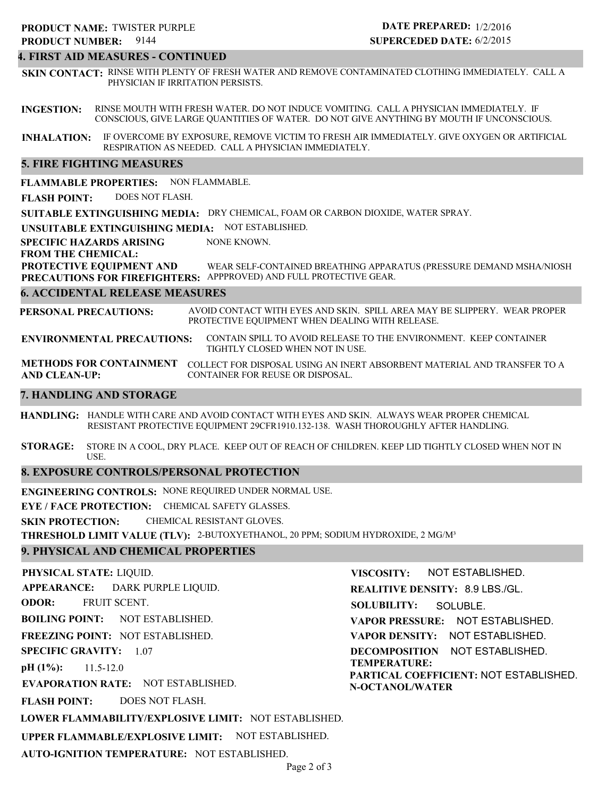## **4. FIRST AID MEASURES - CONTINUED**

**SKIN CONTACT:** RINSE WITH PLENTY OF FRESH WATER AND REMOVE CONTAMINATED CLOTHING IMMEDIATELY. CALL A PHYSICIAN IF IRRITATION PERSISTS.

**INGESTION:** RINSE MOUTH WITH FRESH WATER. DO NOT INDUCE VOMITING. CALL A PHYSICIAN IMMEDIATELY. IF CONSCIOUS, GIVE LARGE QUANTITIES OF WATER. DO NOT GIVE ANYTHING BY MOUTH IF UNCONSCIOUS.

**INHALATION:** IF OVERCOME BY EXPOSURE, REMOVE VICTIM TO FRESH AIR IMMEDIATELY. GIVE OXYGEN OR ARTIFICIAL RESPIRATION AS NEEDED. CALL A PHYSICIAN IMMEDIATELY.

## **5. FIRE FIGHTING MEASURES**

**FLAMMABLE PROPERTIES:** NON FLAMMABLE.

**FLASH POINT:** DOES NOT FLASH.

**SUITABLE EXTINGUISHING MEDIA:** DRY CHEMICAL, FOAM OR CARBON DIOXIDE, WATER SPRAY.

**UNSUITABLE EXTINGUISHING MEDIA:** NOT ESTABLISHED.

**SPECIFIC HAZARDS ARISING** NONE KNOWN.

**FROM THE CHEMICAL:**

**PROTECTIVE EQUIPMENT AND PRECAUTIONS FOR FIREFIGHTERS:** APPPROVED) AND FULL PROTECTIVE GEAR. WEAR SELF-CONTAINED BREATHING APPARATUS (PRESSURE DEMAND MSHA/NIOSH

### **6. ACCIDENTAL RELEASE MEASURES**

**PERSONAL PRECAUTIONS:** AVOID CONTACT WITH EYES AND SKIN. SPILL AREA MAY BE SLIPPERY. WEAR PROPER PROTECTIVE EQUIPMENT WHEN DEALING WITH RELEASE.

**ENVIRONMENTAL PRECAUTIONS:** CONTAIN SPILL TO AVOID RELEASE TO THE ENVIRONMENT. KEEP CONTAINER TIGHTLY CLOSED WHEN NOT IN USE.

**METHODS FOR CONTAINMENT** COLLECT FOR DISPOSAL USING AN INERT ABSORBENT MATERIAL AND TRANSFER TO A **AND CLEAN-UP:** CONTAINER FOR REUSE OR DISPOSAL.

## **7. HANDLING AND STORAGE**

**HANDLING:** HANDLE WITH CARE AND AVOID CONTACT WITH EYES AND SKIN. ALWAYS WEAR PROPER CHEMICAL RESISTANT PROTECTIVE EQUIPMENT 29CFR1910.132-138. WASH THOROUGHLY AFTER HANDLING.

**STORAGE:** STORE IN A COOL, DRY PLACE. KEEP OUT OF REACH OF CHILDREN. KEEP LID TIGHTLY CLOSED WHEN NOT IN USE.

## **8. EXPOSURE CONTROLS/PERSONAL PROTECTION**

**ENGINEERING CONTROLS:** NONE REQUIRED UNDER NORMAL USE.

**EYE / FACE PROTECTION:** CHEMICAL SAFETY GLASSES.

**SKIN PROTECTION:** CHEMICAL RESISTANT GLOVES.

**THRESHOLD LIMIT VALUE (TLV):** 2-BUTOXYETHANOL, 20 PPM; SODIUM HYDROXIDE, 2 MG/M³

## **9. PHYSICAL AND CHEMICAL PROPERTIES**

**PHYSICAL STATE:** LIQUID. **APPEARANCE: ODOR: BOILING POINT: FREEZING POINT:** NOT ESTABLISHED. **SPECIFIC GRAVITY:** 1.07 **pH (1%): EVAPORATION RATE:** NOT ESTABLISHED. **FLASH POINT: LOWER FLAMMABILITY/EXPLOSIVE LIMIT:** NOT ESTABLISHED. **UPPER FLAMMABLE/EXPLOSIVE LIMIT:** NOT ESTABLISHED. NOT ESTABLISHED. 11.5-12.0 DOES NOT FLASH. DARK PURPLE LIQUID. FRUIT SCENT. **VISCOSITY: REALITIVE DENSITY:** 8.9 LBS./GL. **SOLUBILITY: VAPOR PRESSURE:** NOT ESTABLISHED. **VAPOR DENSITY:** NOT ESTABLISHED. **DECOMPOSITION** NOT ESTABLISHED. **TEMPERATURE: PARTICAL COEFFICIENT:** NOT ESTABLISHED. **N-OCTANOL/WATER** NOT ESTABLISHED. SOLUBLE.

**AUTO-IGNITION TEMPERATURE:** NOT ESTABLISHED.